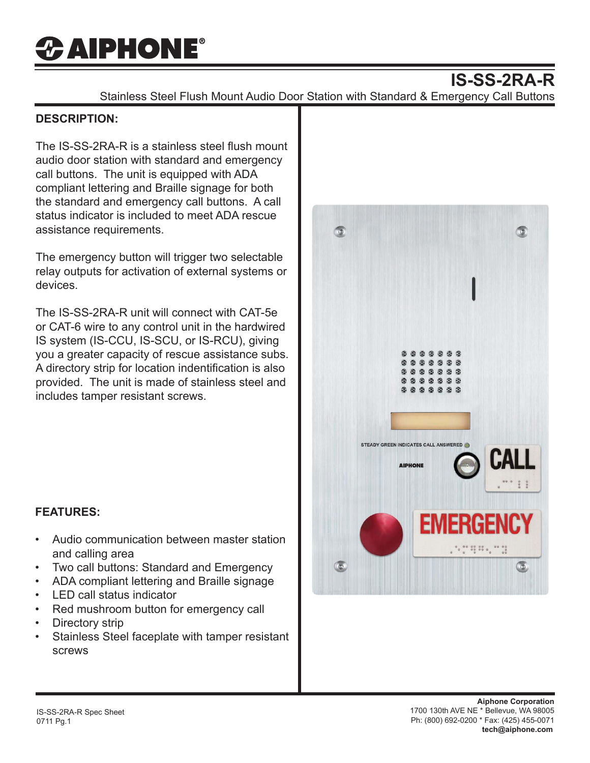# *CAIPHONE®*

## **IS-SS-2RA-R**

Stainless Steel Flush Mount Audio Door Station with Standard & Emergency Call Buttons

#### **DESCRIPTION:**

The IS-SS-2RA-R is a stainless steel flush mount audio door station with standard and emergency call buttons. The unit is equipped with ADA compliant lettering and Braille signage for both the standard and emergency call buttons. A call status indicator is included to meet ADA rescue assistance requirements.

The emergency button will trigger two selectable relay outputs for activation of external systems or devices.

The IS-SS-2RA-R unit will connect with CAT-5e or CAT-6 wire to any control unit in the hardwired IS system (IS-CCU, IS-SCU, or IS-RCU), giving you a greater capacity of rescue assistance subs. A directory strip for location indentification is also provided. The unit is made of stainless steel and includes tamper resistant screws.



### **FEATURES:**

- Audio communication between master station and calling area
- Two call buttons: Standard and Emergency
- ADA compliant lettering and Braille signage
- LED call status indicator
- Red mushroom button for emergency call
- Directory strip
- Stainless Steel faceplate with tamper resistant screws

**Aiphone Corporation** 1700 130th AVE NE \* Bellevue, WA 98005 Ph: (800) 692-0200 \* Fax: (425) 455-0071 **tech@aiphone.com**